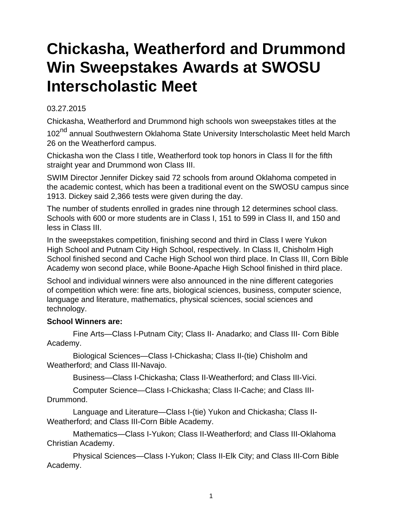## **Chickasha, Weatherford and Drummond Win Sweepstakes Awards at SWOSU Interscholastic Meet**

## 03.27.2015

Chickasha, Weatherford and Drummond high schools won sweepstakes titles at the 102<sup>nd</sup> annual Southwestern Oklahoma State University Interscholastic Meet held March 26 on the Weatherford campus.

Chickasha won the Class I title, Weatherford took top honors in Class II for the fifth straight year and Drummond won Class III.

SWIM Director Jennifer Dickey said 72 schools from around Oklahoma competed in the academic contest, which has been a traditional event on the SWOSU campus since 1913. Dickey said 2,366 tests were given during the day.

The number of students enrolled in grades nine through 12 determines school class. Schools with 600 or more students are in Class I, 151 to 599 in Class II, and 150 and less in Class III.

In the sweepstakes competition, finishing second and third in Class I were Yukon High School and Putnam City High School, respectively. In Class II, Chisholm High School finished second and Cache High School won third place. In Class III, Corn Bible Academy won second place, while Boone-Apache High School finished in third place.

School and individual winners were also announced in the nine different categories of competition which were: fine arts, biological sciences, business, computer science, language and literature, mathematics, physical sciences, social sciences and technology.

## **School Winners are:**

 Fine Arts—Class I-Putnam City; Class II- Anadarko; and Class III- Corn Bible Academy.

 Biological Sciences—Class I-Chickasha; Class II-(tie) Chisholm and Weatherford; and Class III-Navajo.

Business—Class I-Chickasha; Class II-Weatherford; and Class III-Vici.

 Computer Science—Class I-Chickasha; Class II-Cache; and Class III-Drummond.

 Language and Literature—Class I-(tie) Yukon and Chickasha; Class II-Weatherford; and Class III-Corn Bible Academy.

 Mathematics—Class I-Yukon; Class II-Weatherford; and Class III-Oklahoma Christian Academy.

 Physical Sciences—Class I-Yukon; Class II-Elk City; and Class III-Corn Bible Academy.